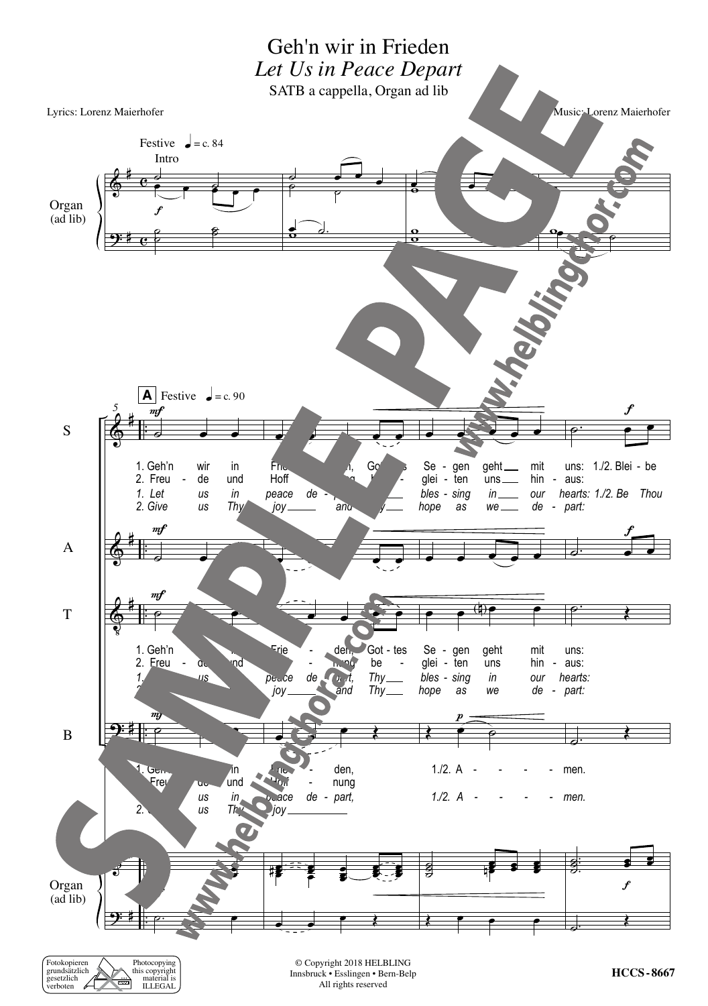

| Fotokopieren  |                   | Photocopying   |
|---------------|-------------------|----------------|
| grundsätzlich |                   | this copyright |
| gesetzlich    | $\ddotsc$<br>ल्ला | material is    |
| verboten      |                   | <b>ILLEGAL</b> |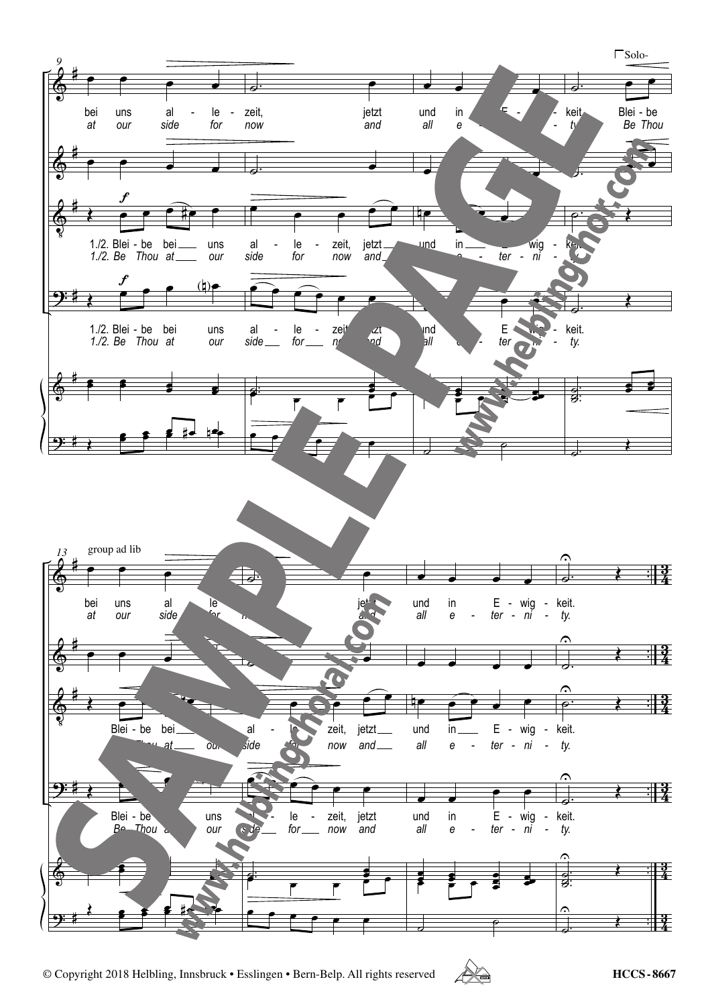



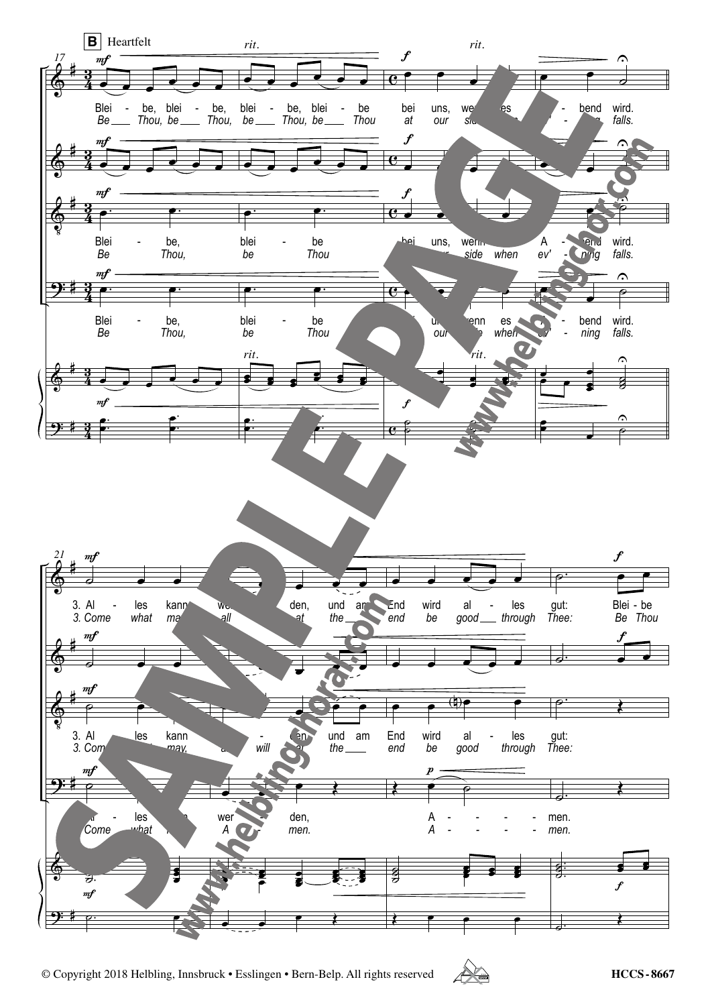